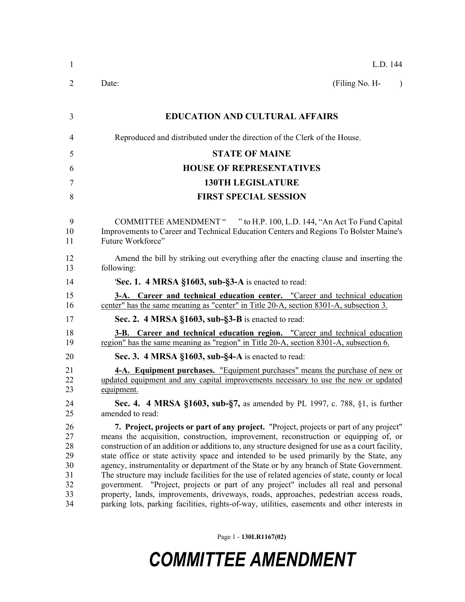| $\mathbf{1}$                                       | L.D. 144                                                                                                                                                                                                                                                                                                                                                                                                                                                                                                                                                                                                                                                                                                                                                                                                                                                        |  |
|----------------------------------------------------|-----------------------------------------------------------------------------------------------------------------------------------------------------------------------------------------------------------------------------------------------------------------------------------------------------------------------------------------------------------------------------------------------------------------------------------------------------------------------------------------------------------------------------------------------------------------------------------------------------------------------------------------------------------------------------------------------------------------------------------------------------------------------------------------------------------------------------------------------------------------|--|
| 2                                                  | Date:<br>(Filing No. H-<br>$\lambda$                                                                                                                                                                                                                                                                                                                                                                                                                                                                                                                                                                                                                                                                                                                                                                                                                            |  |
| 3                                                  | <b>EDUCATION AND CULTURAL AFFAIRS</b>                                                                                                                                                                                                                                                                                                                                                                                                                                                                                                                                                                                                                                                                                                                                                                                                                           |  |
| 4                                                  | Reproduced and distributed under the direction of the Clerk of the House.                                                                                                                                                                                                                                                                                                                                                                                                                                                                                                                                                                                                                                                                                                                                                                                       |  |
| 5                                                  | <b>STATE OF MAINE</b>                                                                                                                                                                                                                                                                                                                                                                                                                                                                                                                                                                                                                                                                                                                                                                                                                                           |  |
| 6                                                  | <b>HOUSE OF REPRESENTATIVES</b>                                                                                                                                                                                                                                                                                                                                                                                                                                                                                                                                                                                                                                                                                                                                                                                                                                 |  |
| 7                                                  | <b>130TH LEGISLATURE</b>                                                                                                                                                                                                                                                                                                                                                                                                                                                                                                                                                                                                                                                                                                                                                                                                                                        |  |
| 8                                                  | <b>FIRST SPECIAL SESSION</b>                                                                                                                                                                                                                                                                                                                                                                                                                                                                                                                                                                                                                                                                                                                                                                                                                                    |  |
| 9<br>10<br>11                                      | COMMITTEE AMENDMENT " " to H.P. 100, L.D. 144, "An Act To Fund Capital<br>Improvements to Career and Technical Education Centers and Regions To Bolster Maine's<br>Future Workforce"                                                                                                                                                                                                                                                                                                                                                                                                                                                                                                                                                                                                                                                                            |  |
| 12<br>13                                           | Amend the bill by striking out everything after the enacting clause and inserting the<br>following:                                                                                                                                                                                                                                                                                                                                                                                                                                                                                                                                                                                                                                                                                                                                                             |  |
| 14                                                 | <b>Sec. 1. 4 MRSA §1603, sub-§3-A</b> is enacted to read:                                                                                                                                                                                                                                                                                                                                                                                                                                                                                                                                                                                                                                                                                                                                                                                                       |  |
| 15<br>16                                           | 3-A. Career and technical education center. "Career and technical education<br>center" has the same meaning as "center" in Title 20-A, section 8301-A, subsection 3.                                                                                                                                                                                                                                                                                                                                                                                                                                                                                                                                                                                                                                                                                            |  |
| 17                                                 | Sec. 2. 4 MRSA §1603, sub-§3-B is enacted to read:                                                                                                                                                                                                                                                                                                                                                                                                                                                                                                                                                                                                                                                                                                                                                                                                              |  |
| 18<br>19                                           | 3-B. Career and technical education region. "Career and technical education<br>region" has the same meaning as "region" in Title 20-A, section 8301-A, subsection 6.                                                                                                                                                                                                                                                                                                                                                                                                                                                                                                                                                                                                                                                                                            |  |
| 20                                                 | Sec. 3. 4 MRSA §1603, sub-§4-A is enacted to read:                                                                                                                                                                                                                                                                                                                                                                                                                                                                                                                                                                                                                                                                                                                                                                                                              |  |
| 21<br>22<br>23                                     | <b>4-A.</b> Equipment purchases. "Equipment purchases" means the purchase of new or<br>updated equipment and any capital improvements necessary to use the new or updated<br>equipment.                                                                                                                                                                                                                                                                                                                                                                                                                                                                                                                                                                                                                                                                         |  |
| 24<br>25                                           | Sec. 4. 4 MRSA §1603, sub-§7, as amended by PL 1997, c. 788, §1, is further<br>amended to read:                                                                                                                                                                                                                                                                                                                                                                                                                                                                                                                                                                                                                                                                                                                                                                 |  |
| 26<br>27<br>28<br>29<br>30<br>31<br>32<br>33<br>34 | 7. Project, projects or part of any project. "Project, projects or part of any project"<br>means the acquisition, construction, improvement, reconstruction or equipping of, or<br>construction of an addition or additions to, any structure designed for use as a court facility,<br>state office or state activity space and intended to be used primarily by the State, any<br>agency, instrumentality or department of the State or by any branch of State Government.<br>The structure may include facilities for the use of related agencies of state, county or local<br>government. "Project, projects or part of any project" includes all real and personal<br>property, lands, improvements, driveways, roads, approaches, pedestrian access roads,<br>parking lots, parking facilities, rights-of-way, utilities, easements and other interests in |  |

Page 1 - **130LR1167(02)**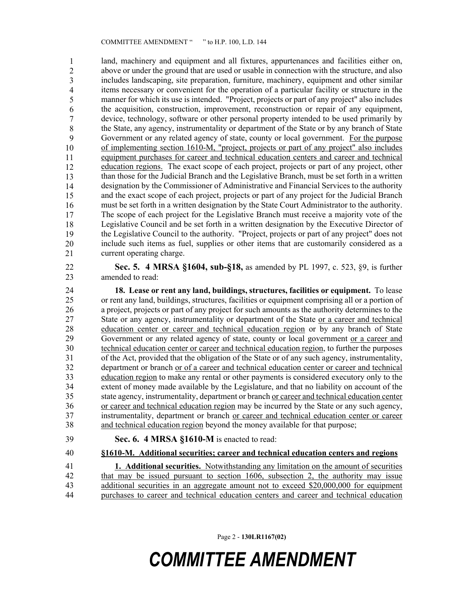land, machinery and equipment and all fixtures, appurtenances and facilities either on, above or under the ground that are used or usable in connection with the structure, and also includes landscaping, site preparation, furniture, machinery, equipment and other similar 38 items necessary or convenient for the operation of a particular facility or structure in the manner for which its use is intended. "Project, projects or part of any project" also includes the acquisition, construction, improvement, reconstruction or repair of any equipment, device, technology, software or other personal property intended to be used primarily by the State, any agency, instrumentality or department of the State or by any branch of State Government or any related agency of state, county or local government. For the purpose of implementing section 1610-M, "project, projects or part of any project" also includes equipment purchases for career and technical education centers and career and technical education regions. The exact scope of each project, projects or part of any project, other than those for the Judicial Branch and the Legislative Branch, must be set forth in a written 48 designation by the Commissioner of Administrative and Financial Services to the authority and the exact scope of each project, projects or part of any project for the Judicial Branch must be set forth in a written designation by the State Court Administrator to the authority. The scope of each project for the Legislative Branch must receive a majority vote of the Legislative Council and be set forth in a written designation by the Executive Director of the Legislative Council to the authority. "Project, projects or part of any project" does not include such items as fuel, supplies or other items that are customarily considered as a current operating charge. 1 2 3 4 5 6 7 8 9 10 11 12 13 14 15 16 17 18 19 20 21

22 **Sec. 5. 4 MRSA §1604, sub-§18,** as amended by PL 1997, c. 523, §9, is further 23 amended to read:

24 **18. Lease or rent any land, buildings, structures, facilities or equipment.** To lease 25 or rent any land, buildings, structures, facilities or equipment comprising all or a portion of 26 a project, projects or part of any project for such amounts as the authority determines to the 27 State or any agency, instrumentality or department of the State or a career and technical 28 education center or career and technical education region or by any branch of State 29 Government or any related agency of state, county or local government or a career and 30 technical education center or career and technical education region, to further the purposes 31 of the Act, provided that the obligation of the State or of any such agency, instrumentality, 32 department or branch <u>or of a career and technical education center or career and technical</u><br>33 education region to make any rental or other payments is considered executory only to the 33 education region to make any rental or other payments is considered executory only to the 34 extent of money made available by the Legislature, and that no liability on account of the 35 state agency, instrumentality, department or branch or career and technical education center 36 or career and technical education region may be incurred by the State or any such agency, 37 instrumentality, department or branch or career and technical education center or career 38 and technical education region beyond the money available for that purpose;

39 **Sec. 6. 4 MRSA §1610-M** is enacted to read:

40 **§1610-M. Additional securities; career and technical education centers and regions**

41 **1. Additional securities.** Notwithstanding any limitation on the amount of securities 42 that may be issued pursuant to section 1606, subsection 2, the authority may issue 43 additional securities in an aggregate amount not to exceed \$20,000,000 for equipment 44 purchases to career and technical education centers and career and technical education

Page 2 - **130LR1167(02)**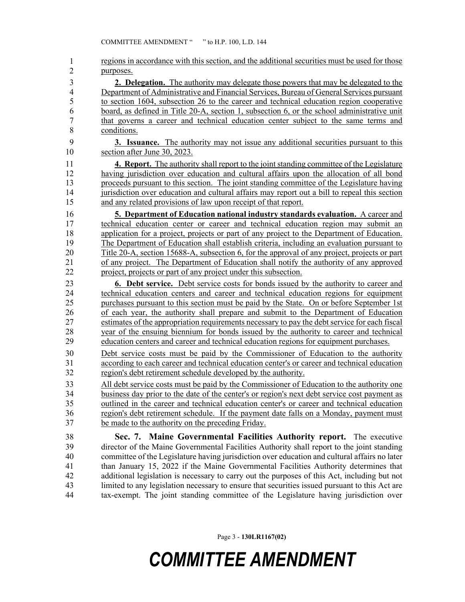| $\mathbf{1}$   | regions in accordance with this section, and the additional securities must be used for those                                                                                          |
|----------------|----------------------------------------------------------------------------------------------------------------------------------------------------------------------------------------|
| $\overline{2}$ | purposes.                                                                                                                                                                              |
| 3              | <b>2. Delegation.</b> The authority may delegate those powers that may be delegated to the                                                                                             |
| $\overline{4}$ | Department of Administrative and Financial Services, Bureau of General Services pursuant                                                                                               |
| 5              | to section 1604, subsection 26 to the career and technical education region cooperative                                                                                                |
| 6              | board, as defined in Title 20-A, section 1, subsection 6, or the school administrative unit                                                                                            |
| $\overline{7}$ | that governs a career and technical education center subject to the same terms and                                                                                                     |
| 8              | conditions.                                                                                                                                                                            |
| 9              | <b>3.</b> Issuance. The authority may not issue any additional securities pursuant to this                                                                                             |
| 10             | section after June 30, 2023.                                                                                                                                                           |
| 11             | <b>4. Report.</b> The authority shall report to the joint standing committee of the Legislature                                                                                        |
| 12             | having jurisdiction over education and cultural affairs upon the allocation of all bond                                                                                                |
| 13             | proceeds pursuant to this section. The joint standing committee of the Legislature having                                                                                              |
| 14             | jurisdiction over education and cultural affairs may report out a bill to repeal this section                                                                                          |
| 15             | and any related provisions of law upon receipt of that report.                                                                                                                         |
| 16             | 5. Department of Education national industry standards evaluation. A career and                                                                                                        |
| 17             | technical education center or career and technical education region may submit an                                                                                                      |
| 18             | application for a project, projects or part of any project to the Department of Education.                                                                                             |
| 19             | The Department of Education shall establish criteria, including an evaluation pursuant to                                                                                              |
| 20             | Title 20-A, section 15688-A, subsection 6, for the approval of any project, projects or part                                                                                           |
| 21             | of any project. The Department of Education shall notify the authority of any approved                                                                                                 |
| 22             | project, projects or part of any project under this subsection.                                                                                                                        |
|                |                                                                                                                                                                                        |
| 23             | <b>6. Debt service.</b> Debt service costs for bonds issued by the authority to career and                                                                                             |
| 24             | technical education centers and career and technical education regions for equipment                                                                                                   |
| 25             | purchases pursuant to this section must be paid by the State. On or before September 1st                                                                                               |
| 26             | of each year, the authority shall prepare and submit to the Department of Education                                                                                                    |
| 27             | estimates of the appropriation requirements necessary to pay the debt service for each fiscal                                                                                          |
| 28             | year of the ensuing biennium for bonds issued by the authority to career and technical                                                                                                 |
| 29             | education centers and career and technical education regions for equipment purchases.                                                                                                  |
| 30             | Debt service costs must be paid by the Commissioner of Education to the authority                                                                                                      |
| 31             | according to each career and technical education center's or career and technical education                                                                                            |
| 32             | region's debt retirement schedule developed by the authority.                                                                                                                          |
| 33             | All debt service costs must be paid by the Commissioner of Education to the authority one                                                                                              |
| 34             | business day prior to the date of the center's or region's next debt service cost payment as                                                                                           |
| 35             | <u>outlined in the career and technical education center's or career and technical education</u>                                                                                       |
| 36             | region's debt retirement schedule. If the payment date falls on a Monday, payment must                                                                                                 |
| 37             | be made to the authority on the preceding Friday.                                                                                                                                      |
| 38             |                                                                                                                                                                                        |
| 39             | Sec. 7. Maine Governmental Facilities Authority report. The executive<br>director of the Maine Governmental Facilities Authority shall report to the joint standing                    |
| 40             | committee of the Legislature having jurisdiction over education and cultural affairs no later                                                                                          |
| 41             | than January 15, 2022 if the Maine Governmental Facilities Authority determines that                                                                                                   |
| 42             | additional legislation is necessary to carry out the purposes of this Act, including but not                                                                                           |
| 43<br>44       | limited to any legislation necessary to ensure that securities issued pursuant to this Act are<br>tax-exempt. The joint standing committee of the Legislature having jurisdiction over |

Page 3 - **130LR1167(02)**